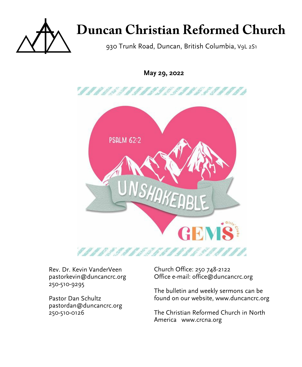

# **Duncan Christian Reformed Church**

930 Trunk Road, Duncan, British Columbia, V9L 2S1

**May 29, 2022**



Rev. Dr. Kevin VanderVeen pastorkevin@duncancrc.org 250-510-9295

Pastor Dan Schultz pastordan@duncancrc.org 250-510-0126

Church Office: 250 748-2122 Office e-mail: office@duncancrc.org

The bulletin and week[ly](www.duncancrc.org) sermons can be found on our website, www.duncancrc.org

The Christian Reformed Church in North America www.crcna.org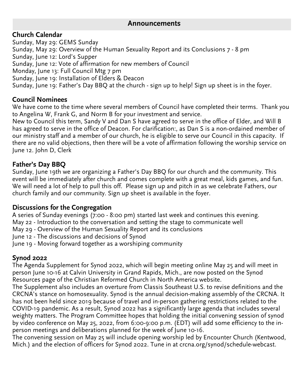#### **Announcements**

## **Church Calendar**

Sunday, May 29: GEMS Sunday Sunday, May 29: Overview of the Human Sexuality Report and its Conclusions 7 - 8 pm Sunday, June 12: Lord's Supper Sunday, June 12: Vote of affirmation for new members of Council Monday, June 13: Full Council Mtg 7 pm Sunday, June 19: Installation of Elders & Deacon Sunday, June 19: Father's Day BBQ at the church - sign up to help! Sign up sheet is in the foyer.

#### **Council Nominees**

We have come to the time where several members of Council have completed their terms. Thank you to Angelina W, Frank G, and Norm B for your investment and service.

New to Council this term, Sandy V and Dan S have agreed to serve in the office of Elder, and Will B has agreed to serve in the office of Deacon. For clarification:, as Dan S is a non-ordained member of our ministry staff and a member of our church, he is eligible to serve our Council in this capacity. If there are no valid objections, then there will be a vote of affirmation following the worship service on June 12. John D, Clerk

## **Father's Day BBQ**

Sunday, June 19th we are organizing a Father's Day BBQ for our church and the community. This event will be immediately after church and comes complete with a great meal, kids games, and fun. We will need a lot of help to pull this off. Please sign up and pitch in as we celebrate Fathers, our church family and our community. Sign up sheet is available in the foyer.

## **Discussions for the Congregation**

A series of Sunday evenings (7:00 - 8:00 pm) started last week and continues this evening.

May 22 - Introduction to the conversation and setting the stage to communicate well

May 29 - Overview of the Human Sexuality Report and its conclusions

June 12 - The discussions and decisions of Synod

June 19 - Moving forward together as a worshiping community

# **Synod 2022**

The Agenda Supplement for Synod 2022, which will begin meeting online May 25 and will meet in person June 10-16 at Calvin University in Grand Rapids, Mich., are now posted on the Synod Resources page of the Christian Reformed Church in North America website.

The Supplement also includes an overture from Classis Southeast U.S. to revise definitions and the CRCNA's stance on homosexuality. Synod is the annual decision-making assembly of the CRCNA. It has not been held since 2019 because of travel and in-person gathering restrictions related to the COVID-19 pandemic. As a result, Synod 2022 has a significantly large agenda that includes several weighty matters. The Program Committee hopes that holding the initial convening session of synod by video conference on May 25, 2022, from 6:00-9:00 p.m. (EDT) will add some efficiency to the inperson meetings and deliberations planned for the week of June 10-16.

The convening session on May 25 will include opening worship led by Encounter Church (Kentwood, Mich.) and the election of officers for Synod 2022. Tune in at crcna.org/synod/schedule-webcast.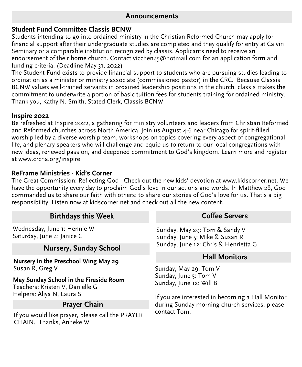#### **Announcements**

#### **Student Fund Committee Classis BCNW**

Students intending to go into ordained ministry in the Christian Reformed Church may apply for financial support after their undergraduate studies are completed and they qualify for entry at Calvin Seminary or a comparable institution recognized by classis. Applicants need to receive an endorsement of their home church. Contact vicchen45@hotmail.com for an application form and funding criteria. (Deadline May 31, 2022)

The Student Fund exists to provide financial support to students who are pursuing studies leading to ordination as a minister or ministry associate (commissioned pastor) in the CRC. Because Classis BCNW values well-trained servants in ordained leadership positions in the church, classis makes the commitment to underwrite a portion of basic tuition fees for students training for ordained ministry. Thank you, Kathy N. Smith, Stated Clerk, Classis BCNW

#### **Inspire 2022**

Be refreshed at Inspire 2022, a gathering for ministry volunteers and leaders from Christian Reformed and Reformed churches across North America. Join us August 4-6 near Chicago for spirit-filled worship led by a diverse worship team, workshops on topics covering every aspect of congregational life, and plenary speakers who will challenge and equip us to return to our local congregations with new ideas, renewed passion, and deepened commitment to God's kingdom. Learn more and register at www.crcna.org/inspire

#### **ReFrame Ministries - Kid's Corner**

The Great Commission: Reflecting God - Check out the new kids' devotion at www.kidscorner.net. We have the opportunity every day to proclaim God's love in our actions and words. In Matthew 28, God commanded us to share our faith with others: to share our stories of God's love for us. That's a big responsibility! Listen now at kidscorner.net and check out all the new content.

| <b>Birthdays this Week</b>                                                                             | <b>Coffee Servers</b>                                                                                                                                                                          |
|--------------------------------------------------------------------------------------------------------|------------------------------------------------------------------------------------------------------------------------------------------------------------------------------------------------|
| Wednesday, June 1: Hennie W<br>Saturday, June 4: Janice C                                              | Sunday, May 29: Tom & Sandy V<br>Sunday, June 5: Mike & Susan R<br>Sunday, June 12: Chris & Henrietta G                                                                                        |
| <b>Nursery, Sunday School</b>                                                                          |                                                                                                                                                                                                |
| Nursery in the Preschool Wing May 29<br>Susan R, Greg V                                                | <b>Hall Monitors</b>                                                                                                                                                                           |
|                                                                                                        | Sunday, May 29: Tom V<br>Sunday, June 5: Tom V<br>Sunday, June 12: Will B<br>If you are interested in becoming a Hall Monitor<br>during Sunday morning church services, please<br>contact Tom. |
| May Sunday School in the Fireside Room<br>Teachers: Kristen V, Danielle G<br>Helpers: Aliya N, Laura S |                                                                                                                                                                                                |
| <b>Prayer Chain</b>                                                                                    |                                                                                                                                                                                                |
| If you would like prayer, please call the PRAYER<br>CHAIN. Thanks, Anneke W                            |                                                                                                                                                                                                |